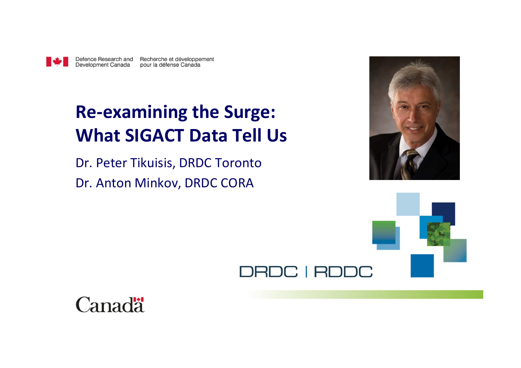

Defence Research and Recherche et développement pour la défense Canada

# **Re-examining the Surge: What SIGACT Data Tell Us**

Dr. Peter Tikuisis, DRDC Toronto Dr. Anton Minkov, DRDC CORA



# DRDC | RDDC

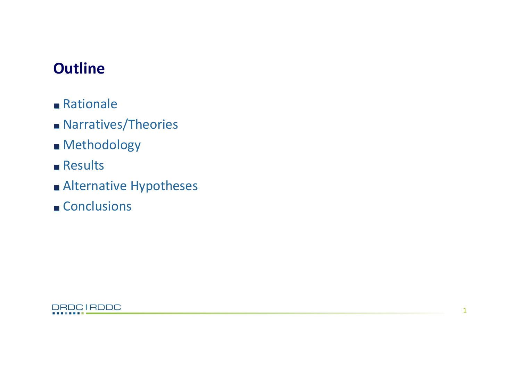# **Outline**

- Rationale
- **Narratives/Theories**
- **Methodology**
- **Results**
- Alternative Hypotheses
- Conclusions

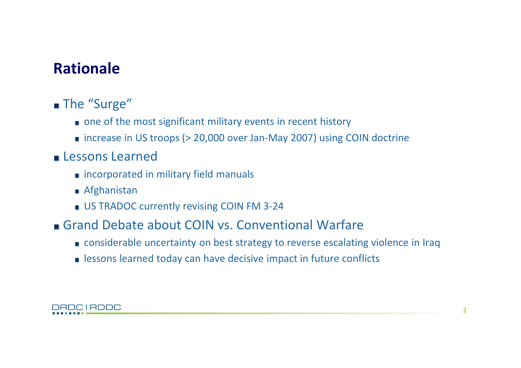# Rationale

### ■ The "Surge"

- one of the most significant military events in recent history
- $\blacksquare$  increase in US troops ( $>$  20,000 over Jan-May 2007) using COIN doctrine

### **Lessons Learned**

- **n** incorporated in military field manuals
- Afghanistan
- US TRADOC currently revising COIN FM 3-24
- Grand Debate about COIN vs. Conventional Warfare
	- considerable uncertainty on best strategy to reverse escalating violence in Iraq
	- **Example 18 I** lessons learned today can have decisive impact in future conflicts

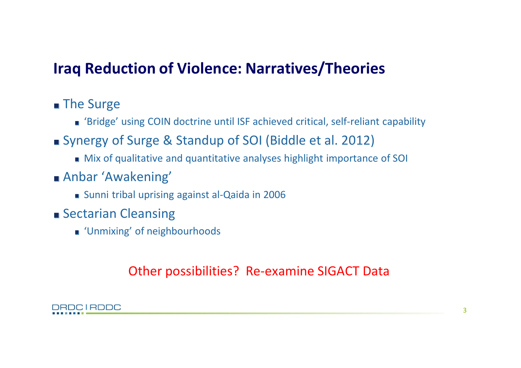# Iraq Reduction of Violence: Narratives/Theories

### ■ The Surge

- 'Bridge' using COIN doctrine until ISF achieved critical, self-reliant capability
- Synergy of Surge & Standup of SOI (Biddle et al. 2012)
	- Mix of qualitative and quantitative analyses highlight importance of SOI
- Anbar 'Awakening'
	- Sunni tribal uprising against al-Qaida in 2006
- **Sectarian Cleansing** 
	- **Unmixing' of neighbourhoods**

### Other possibilities? Re-examine SIGACT Data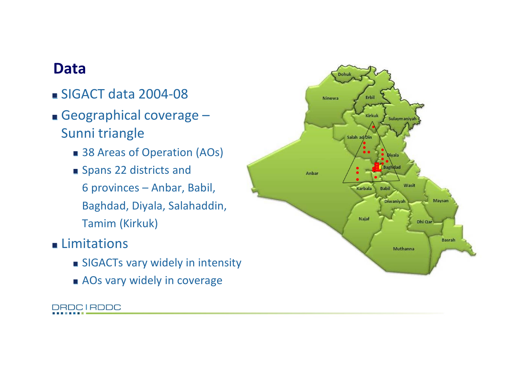### Data

- $\blacksquare$  SIGACT data 2004-08
- Geographical coverage -Sunni triangle
	- 38 Areas of Operation (AOs)
	- Spans 22 districts and 6 provinces – Anbar, Babil, Baghdad, Diyala, Salahaddin, Tamim (Kirkuk)
- **Limitations** 
	- **SIGACTs vary widely in intensity**
	- **AOs vary widely in coverage**



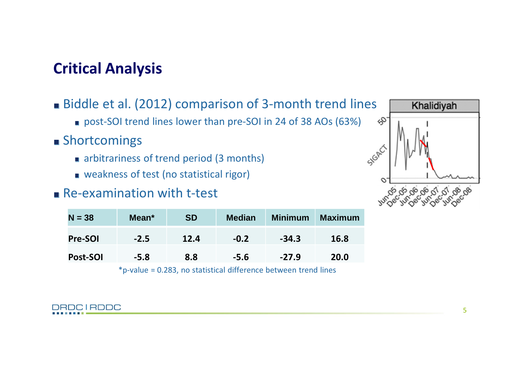# Critical Analysis

- Biddle et al. (2012) comparison of 3-month trend lines
	- post-SOI trend lines lower than pre-SOI in 24 of 38 AOs (63%)
- **Shortcomings** 
	- narbitrariness of trend period (3 months)
	- **weakness of test (no statistical rigor)**

### $R$ e-examination with t-test

| $N = 38$ | Mean <sup>*</sup> | <b>SD</b> | <b>Median</b> | <b>Minimum</b> | <b>Maximum</b> |
|----------|-------------------|-----------|---------------|----------------|----------------|
| Pre-SOI  | $-2.5$            | 12.4      | $-0.2$        | $-34.3$        | 16.8           |
| Post-SOI | $-5.8$            | 8.8       | $-5.6$        | $-27.9$        | 20.0           |

 $*p$ -value = 0.283, no statistical difference between trend lines

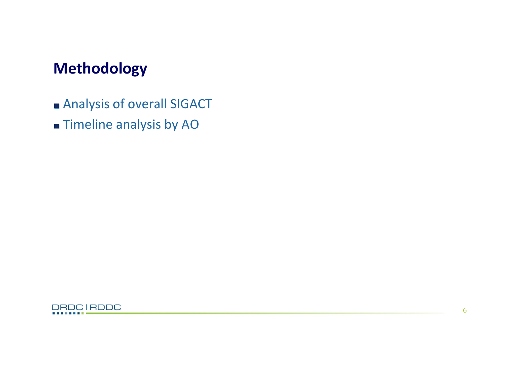# Methodology

- **Analysis of overall SIGACT**
- **Timeline analysis by AO**

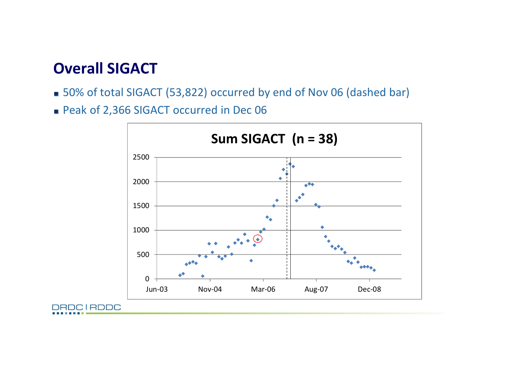### Overall SIGACT

- 50% of total SIGACT (53,822) occurred by end of Nov 06 (dashed bar)
- Peak of 2,366 SIGACT occurred in Dec 06

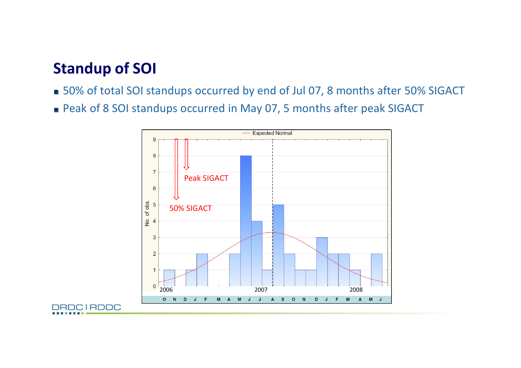### Standup of SOI

- 50% of total SOI standups occurred by end of Jul 07, 8 months after 50% SIGACT
- Peak of 8 SOI standups occurred in May 07, 5 months after peak SIGACT

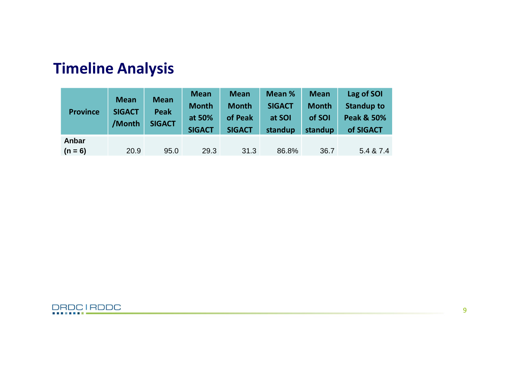| <b>Province</b> | <b>Mean</b><br><b>SIGACT</b><br>/Month | <b>Mean</b><br><b>Peak</b><br><b>SIGACT</b> | <b>Mean</b><br><b>Month</b><br>at 50%<br><b>SIGACT</b> | <b>Mean</b><br><b>Month</b><br>of Peak<br><b>SIGACT</b> | Mean %<br><b>SIGACT</b><br>at SOI<br>standup | <b>Mean</b><br><b>Month</b><br>of SOI<br>standup | Lag of SOI<br><b>Standup to</b><br><b>Peak &amp; 50%</b><br>of SIGACT |
|-----------------|----------------------------------------|---------------------------------------------|--------------------------------------------------------|---------------------------------------------------------|----------------------------------------------|--------------------------------------------------|-----------------------------------------------------------------------|
| Anbar           |                                        |                                             |                                                        |                                                         |                                              |                                                  |                                                                       |
| $(n = 6)$       | 20.9                                   | 95.0                                        | 29.3                                                   | 31.3                                                    | 86.8%                                        | 36.7                                             | 5.4 & 7.4                                                             |

# Timeline Analysis

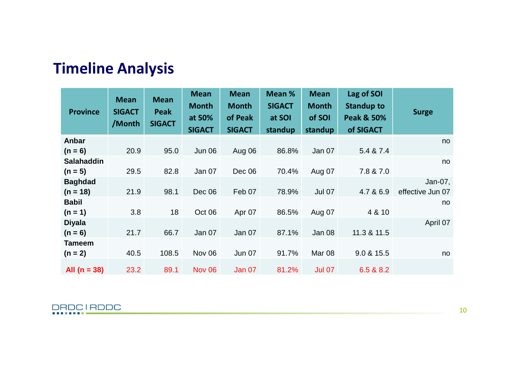| <b>Timeline Analysis</b> |  |  |
|--------------------------|--|--|
|                          |  |  |

| <b>Province</b>   | <b>Mean</b><br><b>SIGACT</b><br>/Month | <b>Mean</b><br><b>Peak</b><br><b>SIGACT</b> | <b>Mean</b><br><b>Month</b><br>at 50%<br><b>SIGACT</b> | <b>Mean</b><br><b>Month</b><br>of Peak<br><b>SIGACT</b> | Mean %<br><b>SIGACT</b><br>at SOI<br>standup | <b>Mean</b><br><b>Month</b><br>of SOI<br>standup | Lag of SOI<br><b>Standup to</b><br><b>Peak &amp; 50%</b><br>of SIGACT | <b>Surge</b>     |
|-------------------|----------------------------------------|---------------------------------------------|--------------------------------------------------------|---------------------------------------------------------|----------------------------------------------|--------------------------------------------------|-----------------------------------------------------------------------|------------------|
| Anbar             |                                        |                                             |                                                        |                                                         |                                              |                                                  |                                                                       | no.              |
| $(n = 6)$         | 20.9                                   | 95.0                                        | <b>Jun 06</b>                                          | Aug 06                                                  | 86.8%                                        | Jan 07                                           | 5.4 & 7.4                                                             |                  |
| <b>Salahaddin</b> |                                        |                                             |                                                        |                                                         |                                              |                                                  |                                                                       | no.              |
| $(n = 5)$         | 29.5                                   | 82.8                                        | Jan 07                                                 | Dec 06                                                  | 70.4%                                        | Aug 07                                           | 7.8 & 7.0                                                             |                  |
| <b>Baghdad</b>    |                                        |                                             |                                                        |                                                         |                                              |                                                  |                                                                       | Jan-07,          |
| $(n = 18)$        | 21.9                                   | 98.1                                        | Dec 06                                                 | Feb 07                                                  | 78.9%                                        | <b>Jul 07</b>                                    | 4.7 & 6.9                                                             | effective Jun 07 |
| <b>Babil</b>      |                                        |                                             |                                                        |                                                         |                                              |                                                  |                                                                       | no               |
| $(n = 1)$         | 3.8                                    | 18                                          | Oct 06                                                 | Apr 07                                                  | 86.5%                                        | Aug 07                                           | 4 & 10                                                                |                  |
| <b>Diyala</b>     |                                        |                                             |                                                        |                                                         |                                              |                                                  |                                                                       | April 07         |
| $(n = 6)$         | 21.7                                   | 66.7                                        | <b>Jan 07</b>                                          | Jan 07                                                  | 87.1%                                        | Jan 08                                           | 11.3 & 11.5                                                           |                  |
| Tameem            |                                        |                                             |                                                        |                                                         |                                              |                                                  |                                                                       |                  |
| $(n = 2)$         | 40.5                                   | 108.5                                       | Nov 06                                                 | <b>Jun 07</b>                                           | 91.7%                                        | Mar <sub>08</sub>                                | 9.0 & 15.5                                                            | no               |
| All $(n = 38)$    | 23.2                                   | 89.1                                        | <b>Nov 06</b>                                          | Jan 07                                                  | 81.2%                                        | <b>Jul 07</b>                                    | 6.5 & 8.2                                                             |                  |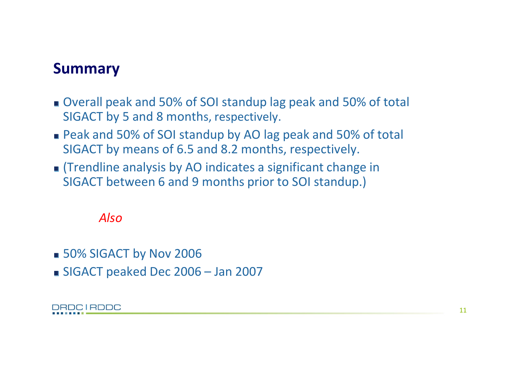### Summary

- Overall peak and 50% of SOI standup lag peak and 50% of total SIGACT by 5 and 8 months, respectively.
- Peak and 50% of SOI standup by AO lag peak and 50% of total SIGACT by means of 6.5 and 8.2 months, respectively.
- (Trendline analysis by AO indicates a significant change in SIGACT between 6 and 9 months prior to SOI standup.)

### *Also*

- 50% SIGACT by Nov 2006
- SIGACT peaked Dec 2006 Jan 2007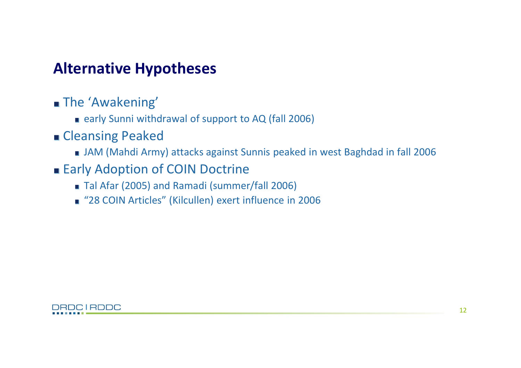### **Alternative Hypotheses**

- **The 'Awakening'** 
	- early Sunni withdrawal of support to AQ (fall 2006)
- **Cleansing Peaked** 
	- JAM (Mahdi Army) attacks against Sunnis peaked in west Baghdad in fall 2006
- **Early Adoption of COIN Doctrine** 
	- Tal Afar (2005) and Ramadi (summer/fall 2006)
	- "28 COIN Articles" (Kilcullen) exert influence in 2006

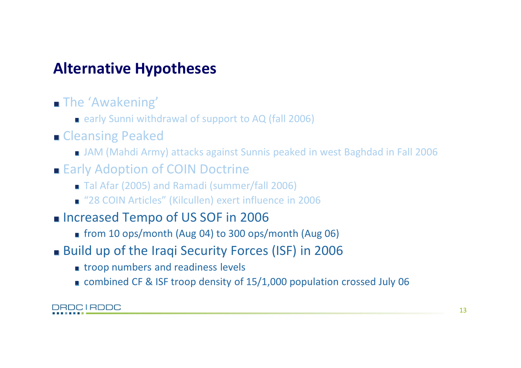# **Alternative Hypotheses**

- **The 'Awakening'** 
	- **E** early Sunni withdrawal of support to AQ (fall 2006)
- **Cleansing Peaked** 
	- JAM (Mahdi Army) attacks against Sunnis peaked in west Baghdad in Fall 2006
- **Early Adoption of COIN Doctrine** 
	- Tal Afar (2005) and Ramadi (summer/fall 2006)
	- "28 COIN Articles" (Kilcullen) exert influence in 2006
- **Increased Tempo of US SOF in 2006** 
	- from 10 ops/month (Aug 04) to 300 ops/month (Aug 06)
- Build up of the Iraqi Security Forces (ISF) in 2006
	- **troop numbers and readiness levels**
	- combined CF & ISF troop density of 15/1,000 population crossed July 06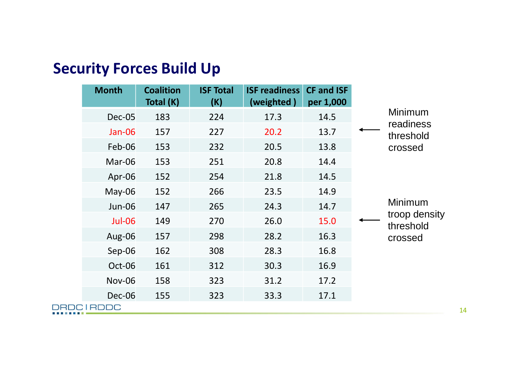| <b>Month</b>     | <b>Coalition</b><br>Total (K) | <b>ISF Total</b><br>(K) | <b>ISF readiness</b><br>(weighted) | <b>CF and ISF</b><br>per 1,000 |                                       |         |
|------------------|-------------------------------|-------------------------|------------------------------------|--------------------------------|---------------------------------------|---------|
| Dec-05           | 183                           | 224                     | 17.3                               | 14.5                           | Minimum<br>readiness<br>threshold     |         |
| Jan-06           | 157                           | 227                     | 20.2                               | 13.7                           |                                       |         |
| Feb-06           | 153                           | 232                     | 20.5                               | 13.8                           |                                       | crossed |
| Mar-06           | 153                           | 251                     | 20.8                               | 14.4                           |                                       |         |
| Apr-06           | 152                           | 254                     | 21.8                               | 14.5                           |                                       | Minimum |
| $May-06$         | 152                           | 266                     | 23.5                               | 14.9                           | troop density<br>threshold<br>crossed |         |
| <b>Jun-06</b>    | 147                           | 265                     | 24.3                               | 14.7                           |                                       |         |
| <b>Jul-06</b>    | 149                           | 270                     | 26.0                               | 15.0                           |                                       |         |
| Aug-06           | 157                           | 298                     | 28.2                               | 16.3                           |                                       |         |
| $Sep-06$         | 162                           | 308                     | 28.3                               | 16.8                           |                                       |         |
| Oct-06           | 161                           | 312                     | 30.3                               | 16.9                           |                                       |         |
| <b>Nov-06</b>    | 158                           | 323                     | 31.2                               | 17.2                           |                                       |         |
| Dec-06           | 155                           | 323                     | 33.3                               | 17.1                           |                                       |         |
| <b>DRDCIRDDC</b> |                               |                         |                                    |                                |                                       |         |

# **Security Forces Build Up**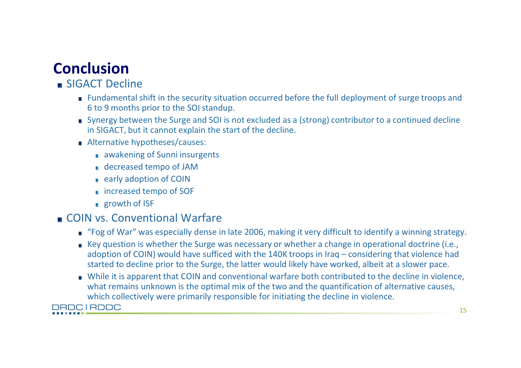# **Conclusion**

### SIGACT Decline

- **EXECT:** Fundamental shift in the security situation occurred before the full deployment of surge troops and 6 to 9 months prior to the SOI standup.
- Synergy between the Surge and SOI is not excluded as a (strong) contributor to a continued decline in SIGACT, but it cannot explain the start of the decline.
- Alternative hypotheses/causes:
	- **a** awakening of Sunni insurgents
	- **decreased tempo of JAM**
	- **E** early adoption of COIN
	- **u** increased tempo of SOF
	- **growth of ISF**

### COIN vs. Conventional Warfare

- "Fog of War" was especially dense in late 2006, making it very difficult to identify a winning strategy.
- Key question is whether the Surge was necessary or whether a change in operational doctrine (i.e., adoption of COIN) would have sufficed with the 140K troops in Iraq – considering that violence had started to decline prior to the Surge, the latter would likely have worked, albeit at a slower pace.
- While it is apparent that COIN and conventional warfare both contributed to the decline in violence, what remains unknown is the optimal mix of the two and the quantification of alternative causes, which collectively were primarily responsible for initiating the decline in violence.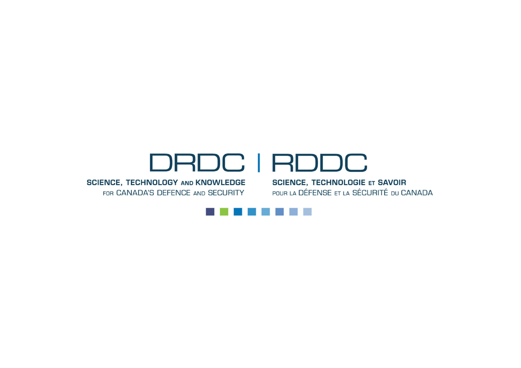# DRDC | RDDC

SCIENCE, TECHNOLOGY AND KNOWLEDGE SCIENCE, TECHNOLOGIE ET SAVOIR FOR CANADA'S DEFENCE AND SECURITY

POUR LA DÉFENSE ET LA SÉCURITÉ DU CANADA

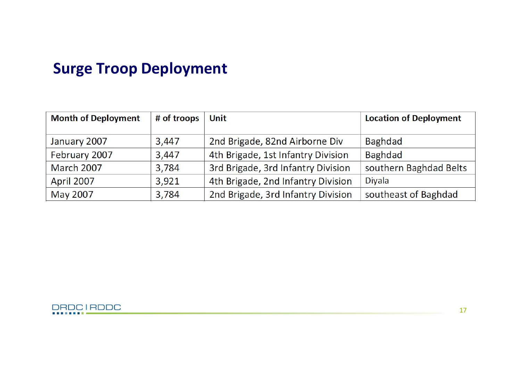### **Surge Troop Deployment**

| <b>Month of Deployment</b> | # of troops | Unit                               | <b>Location of Deployment</b> |  |
|----------------------------|-------------|------------------------------------|-------------------------------|--|
|                            |             |                                    |                               |  |
| January 2007               | 3,447       | 2nd Brigade, 82nd Airborne Div     | <b>Baghdad</b>                |  |
| February 2007              | 3,447       | 4th Brigade, 1st Infantry Division | <b>Baghdad</b>                |  |
| <b>March 2007</b>          | 3,784       | 3rd Brigade, 3rd Infantry Division | southern Baghdad Belts        |  |
| April 2007                 | 3,921       | 4th Brigade, 2nd Infantry Division | <b>Divala</b>                 |  |
| May 2007                   | 3,784       | 2nd Brigade, 3rd Infantry Division | southeast of Baghdad          |  |